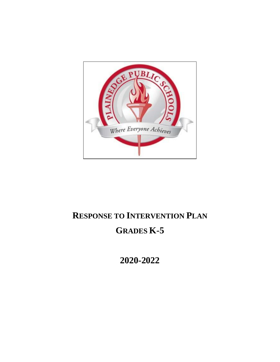

# **RESPONSE TO INTERVENTION PLAN**

# **GRADES K-5**

**2020-2022**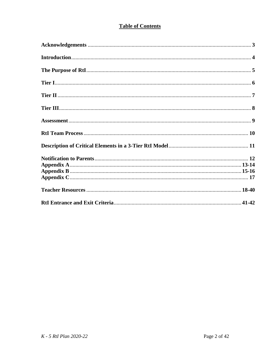## **Table of Contents**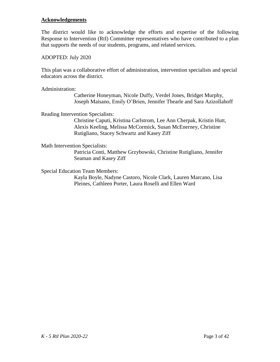#### <span id="page-2-0"></span>**Acknowledgements**

The district would like to acknowledge the efforts and expertise of the following Response to Intervention (RtI) Committee representatives who have contributed to a plan that supports the needs of our students, programs, and related services.

#### ADOPTED: July 2020

This plan was a collaborative effort of administration, intervention specialists and special educators across the district.

Administration:

Catherine Honeyman, Nicole Duffy, Verdel Jones, Bridget Murphy, Joseph Maisano, Emily O'Brien, Jennifer Thearle and Sara Azizollahoff

Reading Intervention Specialists:

Christine Caputi, Kristina Carlstrom, Lee Ann Cherpak, Kristin Hutt, Alexis Keeling, Melissa McCormick, Susan McEnerney, Christine Rutigliano, Stacey Schwartz and Kasey Ziff

#### Math Intervention Specialists:

Patricia Conti, Matthew Grzybowski, Christine Rutigliano, Jennifer Seaman and Kasey Ziff

#### Special Education Team Members:

Kayla Boyle, Nadyne Castoro, Nicole Clark, Lauren Marcano, Lisa Pleines, Cathleen Porter, Laura Roselli and Ellen Ward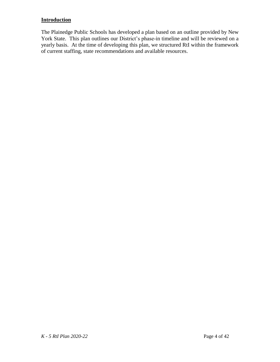#### <span id="page-3-0"></span>**Introduction**

The Plainedge Public Schools has developed a plan based on an outline provided by New York State. This plan outlines our District's phase-in timeline and will be reviewed on a yearly basis. At the time of developing this plan, we structured RtI within the framework of current staffing, state recommendations and available resources.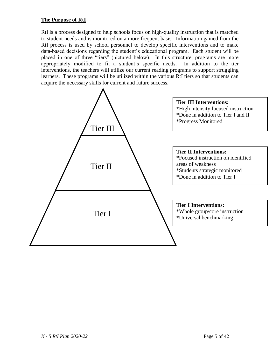#### <span id="page-4-0"></span>**The Purpose of RtI**

RtI is a process designed to help schools focus on high-quality instruction that is matched to student needs and is monitored on a more frequent basis. Information gained from the RtI process is used by school personnel to develop specific interventions and to make data-based decisions regarding the student's educational program. Each student will be placed in one of three "tiers" (pictured below). In this structure, programs are more appropriately modified to fit a student's specific needs. In addition to the tier interventions, the teachers will utilize our current reading programs to support struggling learners. These programs will be utilized within the various RtI tiers so that students can acquire the necessary skills for current and future success.

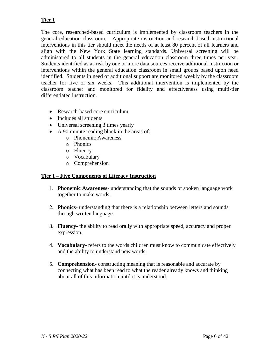## **Tier I**

The core, researched-based curriculum is implemented by classroom teachers in the general education classroom. Appropriate instruction and research-based instructional interventions in this tier should meet the needs of at least 80 percent of all learners and align with the New York State learning standards. Universal screening will be administered to all students in the general education classroom three times per year. Students identified as at-risk by one or more data sources receive additional instruction or interventions within the general education classroom in small groups based upon need identified. Students in need of additional support are monitored weekly by the classroom teacher for five or six weeks. This additional intervention is implemented by the classroom teacher and monitored for fidelity and effectiveness using multi-tier differentiated instruction.

- Research-based core curriculum
- Includes all students
- Universal screening 3 times yearly
- A 90 minute reading block in the areas of:
	- o Phonemic Awareness
	- o Phonics
	- o Fluency
	- o Vocabulary
	- o Comprehension

#### **Tier I – Five Components of Literacy Instruction**

- 1. **Phonemic Awareness** understanding that the sounds of spoken language work together to make words.
- 2. **Phonics** understanding that there is a relationship between letters and sounds through written language.
- 3. **Fluency** the ability to read orally with appropriate speed, accuracy and proper expression.
- 4. **Vocabulary** refers to the words children must know to communicate effectively and the ability to understand new words.
- 5. **Comprehension** constructing meaning that is reasonable and accurate by connecting what has been read to what the reader already knows and thinking about all of this information until it is understood.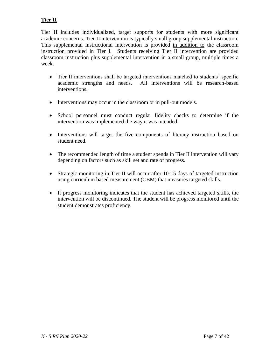# <span id="page-6-0"></span>**Tier II**

Tier II includes individualized, target supports for students with more significant academic concerns. Tier II intervention is typically small group supplemental instruction. This supplemental instructional intervention is provided in addition to the classroom instruction provided in Tier I. Students receiving Tier II intervention are provided classroom instruction plus supplemental intervention in a small group, multiple times a week.

- Tier II interventions shall be targeted interventions matched to students' specific academic strengths and needs. All interventions will be research-based interventions.
- Interventions may occur in the classroom or in pull-out models.
- School personnel must conduct regular fidelity checks to determine if the intervention was implemented the way it was intended.
- Interventions will target the five components of literacy instruction based on student need.
- The recommended length of time a student spends in Tier II intervention will vary depending on factors such as skill set and rate of progress.
- Strategic monitoring in Tier II will occur after 10-15 days of targeted instruction using curriculum based measurement (CBM) that measures targeted skills.
- If progress monitoring indicates that the student has achieved targeted skills, the intervention will be discontinued. The student will be progress monitored until the student demonstrates proficiency.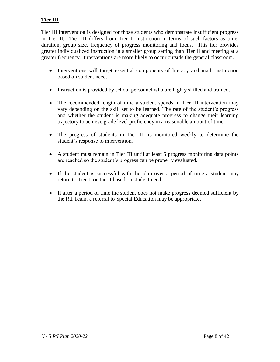# <span id="page-7-0"></span>**Tier III**

Tier III intervention is designed for those students who demonstrate insufficient progress in Tier II. Tier III differs from Tier II instruction in terms of such factors as time, duration, group size, frequency of progress monitoring and focus. This tier provides greater individualized instruction in a smaller group setting than Tier II and meeting at a greater frequency. Interventions are more likely to occur outside the general classroom.

- Interventions will target essential components of literacy and math instruction based on student need.
- Instruction is provided by school personnel who are highly skilled and trained.
- The recommended length of time a student spends in Tier III intervention may vary depending on the skill set to be learned. The rate of the student's progress and whether the student is making adequate progress to change their learning trajectory to achieve grade level proficiency in a reasonable amount of time.
- The progress of students in Tier III is monitored weekly to determine the student's response to intervention.
- A student must remain in Tier III until at least 5 progress monitoring data points are reached so the student's progress can be properly evaluated.
- If the student is successful with the plan over a period of time a student may return to Tier II or Tier I based on student need.
- If after a period of time the student does not make progress deemed sufficient by the RtI Team, a referral to Special Education may be appropriate.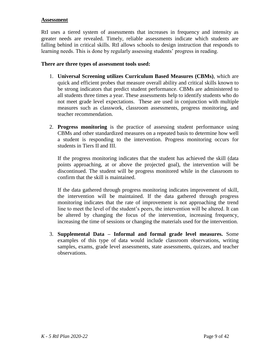#### <span id="page-8-0"></span>**Assessment**

RtI uses a tiered system of assessments that increases in frequency and intensity as greater needs are revealed. Timely, reliable assessments indicate which students are falling behind in critical skills. RtI allows schools to design instruction that responds to learning needs. This is done by regularly assessing students' progress in reading.

#### **There are three types of assessment tools used:**

- 1. **Universal Screening utilizes Curriculum Based Measures (CBMs)**, which are quick and efficient probes that measure overall ability and critical skills known to be strong indicators that predict student performance. CBMs are administered to all students three times a year. These assessments help to identify students who do not meet grade level expectations. These are used in conjunction with multiple measures such as classwork, classroom assessments, progress monitoring, and teacher recommendation.
- 2. **Progress monitoring** is the practice of assessing student performance using CBMs and other standardized measures on a repeated basis to determine how well a student is responding to the intervention. Progress monitoring occurs for students in Tiers II and III.

If the progress monitoring indicates that the student has achieved the skill (data points approaching, at or above the projected goal), the intervention will be discontinued. The student will be progress monitored while in the classroom to confirm that the skill is maintained.

If the data gathered through progress monitoring indicates improvement of skill, the intervention will be maintained. If the data gathered through progress monitoring indicates that the rate of improvement is not approaching the trend line to meet the level of the student's peers, the intervention will be altered. It can be altered by changing the focus of the intervention, increasing frequency, increasing the time of sessions or changing the materials used for the intervention.

3. **Supplemental Data – Informal and formal grade level measures.** Some examples of this type of data would include classroom observations, writing samples, exams, grade level assessments, state assessments, quizzes, and teacher observations.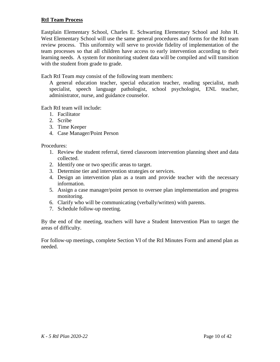#### <span id="page-9-0"></span>**RtI Team Process**

Eastplain Elementary School, Charles E. Schwarting Elementary School and John H. West Elementary School will use the same general procedures and forms for the RtI team review process. This uniformity will serve to provide fidelity of implementation of the team processes so that all children have access to early intervention according to their learning needs. A system for monitoring student data will be compiled and will transition with the student from grade to grade.

Each RtI Team *may* consist of the following team members:

A general education teacher, special education teacher, reading specialist, math specialist, speech language pathologist, school psychologist, ENL teacher, administrator, nurse, and guidance counselor.

Each RtI team will include:

- 1. Facilitator
- 2. Scribe
- 3. Time Keeper
- 4. Case Manager/Point Person

Procedures:

- 1. Review the student referral, tiered classroom intervention planning sheet and data collected.
- 2. Identify one or two specific areas to target.
- 3. Determine tier and intervention strategies or services.
- 4. Design an intervention plan as a team and provide teacher with the necessary information.
- 5. Assign a case manager/point person to oversee plan implementation and progress monitoring.
- 6. Clarify who will be communicating (verbally/written) with parents.
- 7. Schedule follow-up meeting.

By the end of the meeting, teachers will have a Student Intervention Plan to target the areas of difficulty.

For follow-up meetings, complete Section VI of the RtI Minutes Form and amend plan as needed.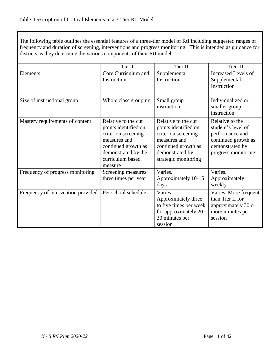<span id="page-10-0"></span>The following table outlines the essential features of a three-tier model of RtI including suggested ranges of frequency and duration of screening, interventions and progress monitoring. This is intended as guidance for districts as they determine the various components of their RtI model.

|                                    | Tier I                                                                                                                                                          | Tier II                                                                                                                                              | Tier III                                                                                                                  |
|------------------------------------|-----------------------------------------------------------------------------------------------------------------------------------------------------------------|------------------------------------------------------------------------------------------------------------------------------------------------------|---------------------------------------------------------------------------------------------------------------------------|
| Elements                           | Core Curriculum and<br>Instruction                                                                                                                              | Supplemental<br>Instruction                                                                                                                          | <b>Increased Levels of</b><br>Supplemental<br>Instruction                                                                 |
| Size of instructional group        | Whole class grouping                                                                                                                                            | Small group<br>instruction                                                                                                                           | Individualized or<br>smaller group<br>instruction                                                                         |
| Mastery requirements of content    | Relative to the cut<br>points identified on<br>criterion screening<br>measures and<br>continued growth as<br>demonstrated by the<br>curriculum based<br>measure | Relative to the cut<br>points identified on<br>criterion screening<br>measures and<br>continued growth as<br>demonstrated by<br>strategic monitoring | Relative to the<br>student's level of<br>performance and<br>continued growth as<br>demonstrated by<br>progress monitoring |
| Frequency of progress monitoring   | Screening measures<br>three times per year                                                                                                                      | Varies.<br>Approximately 10-15<br>days                                                                                                               | Varies.<br>Approximately<br>weekly                                                                                        |
| Frequency of intervention provided | Per school schedule                                                                                                                                             | Varies.<br>Approximately three<br>to five times per week<br>for approximately 20-<br>30 minutes per<br>session                                       | Varies. More frequent<br>than Tier II for<br>approximately 30 or<br>more minutes per<br>session                           |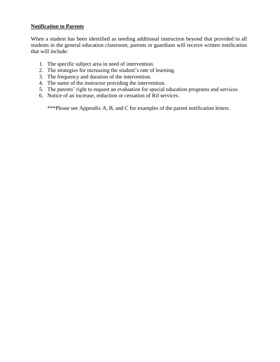#### <span id="page-11-0"></span>**Notification to Parents**

When a student has been identified as needing additional instruction beyond that provided to all students in the general education classroom, parents or guardians will receive written notification that will include:

- 1. The specific subject area in need of intervention.
- 2. The strategies for increasing the student's rate of learning.
- 3. The frequency and duration of the intervention.
- 4. The name of the instructor providing the intervention.
- 5. The parents' right to request an evaluation for special education programs and services.
- 6. Notice of an increase, reduction or cessation of RtI services.

\*\*\*Please see Appendix A, B, and C for examples of the parent notification letters.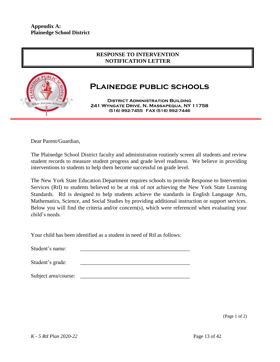

Dear Parent/Guardian,

The Plainedge School District faculty and administration routinely screen all students and review student records to measure student progress and grade level readiness. We believe in providing interventions to students to help them become successful on grade level.

The New York State Education Department requires schools to provide Response to Intervention Services (RtI) to students believed to be at risk of not achieving the New York State Learning Standards. RtI is designed to help students achieve the standards in English Language Arts, Mathematics, Science, and Social Studies by providing additional instruction or support services. Below you will find the criteria and/or concern(s), which were referenced when evaluating your child's needs.

Your child has been identified as a student in need of RtI as follows:

Student's name:

Student's grade:

Subject area/course:

(Page 1 of 2)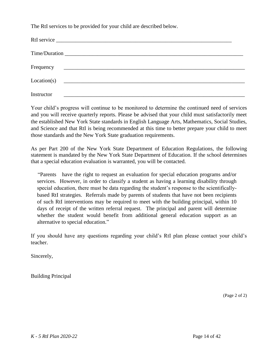The RtI services to be provided for your child are described below.

|            | Location(s) |  |
|------------|-------------|--|
| Instructor |             |  |

Your child's progress will continue to be monitored to determine the continued need of services and you will receive quarterly reports. Please be advised that your child must satisfactorily meet the established New York State standards in English Language Arts, Mathematics, Social Studies, and Science and that RtI is being recommended at this time to better prepare your child to meet those standards and the New York State graduation requirements.

As per Part 200 of the New York State Department of Education Regulations, the following statement is mandated by the New York State Department of Education. If the school determines that a special education evaluation is warranted, you will be contacted.

 "Parents have the right to request an evaluation for special education programs and/or services. However, in order to classify a student as having a learning disability through special education, there must be data regarding the student's response to the scientificallybased RtI strategies. Referrals made by parents of students that have not been recipients of such RtI interventions may be required to meet with the building principal, within 10 days of receipt of the written referral request. The principal and parent will determine whether the student would benefit from additional general education support as an alternative to special education."

If you should have any questions regarding your child's RtI plan please contact your child's teacher.

Sincerely,

Building Principal

(Page 2 of 2)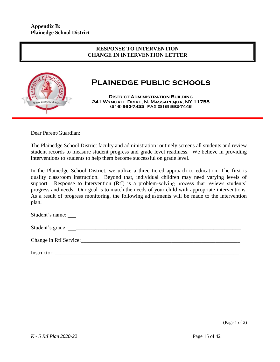# March 2, 2017 **CHANGE IN INTERVENTION LETTER RESPONSE TO INTERVENTION**



Dear Parent/Guardian:

The Plainedge School District faculty and administration routinely screens all students and review student records to measure student progress and grade level readiness. We believe in providing interventions to students to help them become successful on grade level.

In the Plainedge School District, we utilize a three tiered approach to education. The first is quality classroom instruction. Beyond that, individual children may need varying levels of support. Response to Intervention (RtI) is a problem-solving process that reviews students' progress and needs. Our goal is to match the needs of your child with appropriate interventions. As a result of progress monitoring, the following adjustments will be made to the intervention plan.

Student's name: \_\_\_\_\_\_\_\_\_\_\_\_\_\_\_\_\_\_\_\_\_\_\_\_\_\_\_\_\_\_\_\_\_\_\_\_\_\_\_\_\_\_\_\_\_\_\_\_\_\_\_\_\_\_\_\_\_\_\_\_\_\_\_

Student's grade:

Change in RtI Service:\_\_\_\_\_\_\_\_\_\_\_\_\_\_\_\_\_\_\_\_\_\_\_\_\_\_\_\_\_\_\_\_\_\_\_\_\_\_\_\_\_\_\_\_\_\_\_\_\_\_\_\_\_\_\_\_\_\_

Instructor: \_\_\_\_\_\_\_\_\_\_\_\_\_\_\_\_\_\_\_\_\_\_\_\_\_\_\_\_\_\_\_\_\_\_\_\_\_\_\_\_\_\_\_\_\_\_\_\_\_\_\_\_\_\_\_\_\_\_\_\_\_\_\_\_\_\_\_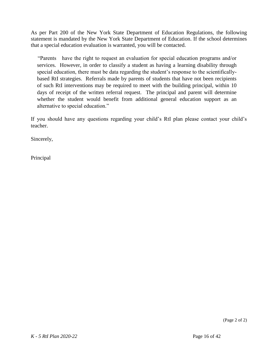As per Part 200 of the New York State Department of Education Regulations, the following statement is mandated by the New York State Department of Education. If the school determines that a special education evaluation is warranted, you will be contacted.

 "Parents have the right to request an evaluation for special education programs and/or services. However, in order to classify a student as having a learning disability through special education, there must be data regarding the student's response to the scientificallybased RtI strategies. Referrals made by parents of students that have not been recipients of such RtI interventions may be required to meet with the building principal, within 10 days of receipt of the written referral request. The principal and parent will determine whether the student would benefit from additional general education support as an alternative to special education."

If you should have any questions regarding your child's RtI plan please contact your child's teacher.

Sincerely,

Principal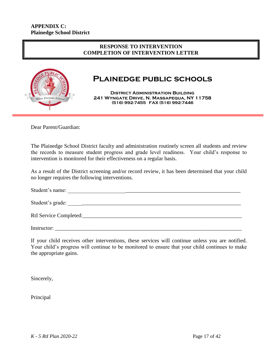#### **RESPONSE TO INTERVENTION COMPLETION OF INTERVENTION LETTER**



# **Plainedge public schools**

**District Administration Building 241 Wyngate Drive, N. Massapequa, NY 11758 (516) 992-7455 FAX (516) 992-7446**

Dear Parent/Guardian:

The Plainedge School District faculty and administration routinely screen all students and review the records to measure student progress and grade level readiness. Your child's response to intervention is monitored for their effectiveness on a regular basis.

As a result of the District screening and/or record review, it has been determined that your child no longer requires the following interventions.

| Student's name:        |  |
|------------------------|--|
| Student's grade:       |  |
| RtI Service Completed: |  |

Instructor:

If your child receives other interventions, these services will continue unless you are notified. Your child's progress will continue to be monitored to ensure that your child continues to make the appropriate gains.

Sincerely,

Principal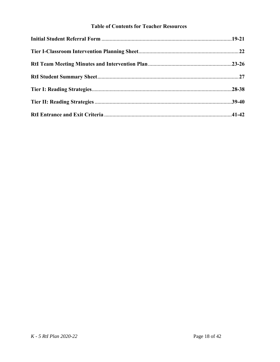## **Table of Contents for Teacher Resources**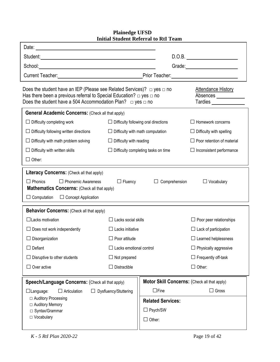<span id="page-18-0"></span>

|                                                                                                                                                                                                                                           |                                                 | Initial Student Referral to RtI Team       |                                       |
|-------------------------------------------------------------------------------------------------------------------------------------------------------------------------------------------------------------------------------------------|-------------------------------------------------|--------------------------------------------|---------------------------------------|
|                                                                                                                                                                                                                                           |                                                 |                                            |                                       |
| Student: North Communication of the Communication of the Communication of the Communication of the Communication of the Communication of the Communication of the Communication of the Communication of the Communication of t            |                                                 |                                            | D.O.B.                                |
|                                                                                                                                                                                                                                           | Grade: <u>_________________________________</u> |                                            |                                       |
|                                                                                                                                                                                                                                           |                                                 |                                            |                                       |
| Does the student have an IEP (Please see Related Services)? $\Box$ yes $\Box$ no<br>Has there been a previous referral to Special Education? $\Box$ yes $\Box$ no<br>Does the student have a 504 Accommodation Plan? $\Box$ yes $\Box$ no |                                                 |                                            | <b>Attendance History</b><br>Absences |
| <b>General Academic Concerns: (Check all that apply)</b>                                                                                                                                                                                  |                                                 |                                            |                                       |
| $\Box$ Difficulty completing work                                                                                                                                                                                                         | $\Box$ Difficulty following oral directions     |                                            | $\Box$ Homework concerns              |
| $\Box$ Difficulty following written directions                                                                                                                                                                                            | $\Box$ Difficulty with math computation         |                                            | $\Box$ Difficulty with spelling       |
| $\Box$ Difficulty with math problem solving                                                                                                                                                                                               | $\Box$ Difficulty with reading                  |                                            | $\Box$ Poor retention of material     |
| $\Box$ Difficulty with written skills                                                                                                                                                                                                     |                                                 | $\Box$ Difficulty completing tasks on time | $\Box$ Inconsistent performance       |
| $\Box$ Other:                                                                                                                                                                                                                             |                                                 |                                            |                                       |
| $\square$ Phonics<br>$\Box$ Phonemic Awareness<br>Mathematics Concerns: (Check all that apply)<br>$\Box$ Computation<br>$\Box$ Concept Application                                                                                        | $\Box$ Fluency                                  | $\Box$ Comprehension                       | $\Box$ Vocabulary                     |
| <b>Behavior Concerns:</b> (Check all that apply)                                                                                                                                                                                          |                                                 |                                            |                                       |
| $\Box$ Lacks motivation                                                                                                                                                                                                                   | $\Box$ Lacks social skills                      |                                            | $\Box$ Poor peer relationships        |
| $\Box$ Does not work independently                                                                                                                                                                                                        | $\Box$ Lacks initiative                         |                                            | $\Box$ Lack of participation          |
| $\Box$ Disorganization                                                                                                                                                                                                                    | $\Box$ Poor attitude                            |                                            | $\Box$ Learned helplessness           |
| $\Box$ Defiant                                                                                                                                                                                                                            | $\Box$ Lacks emotional control                  |                                            | $\Box$ Physically aggressive          |
| Disruptive to other students                                                                                                                                                                                                              | Not prepared                                    |                                            | $\Box$ Frequently off-task            |
| $\Box$ Over active                                                                                                                                                                                                                        | Distractible                                    |                                            | $\Box$ Other:                         |
| Motor Skill Concerns: (Check all that apply)<br>Speech/Language Concerns: (Check all that apply)                                                                                                                                          |                                                 |                                            |                                       |
| $\Box$ Articulation<br>$\Box$ Language:<br>⊔                                                                                                                                                                                              | Dysfluency/Stuttering                           | $\Box$ Fine                                | $\Box$ Gross                          |
| □ Auditory Processing                                                                                                                                                                                                                     |                                                 | <b>Related Services:</b>                   |                                       |
| □ Auditory Memory<br>□ Syntax/Grammar                                                                                                                                                                                                     |                                                 | $\Box$ Psych/SW                            |                                       |
| □ Vocabulary                                                                                                                                                                                                                              |                                                 | $\Box$ Other:                              |                                       |
|                                                                                                                                                                                                                                           |                                                 |                                            |                                       |

#### **Plainedge UFSD Initial Student Referral to RtI Team**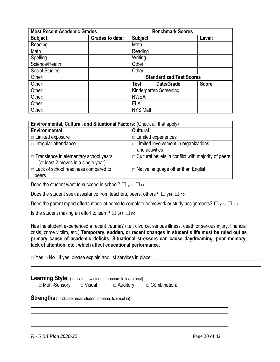| <b>Most Recent Academic Grades</b> |                 |                 | <b>Benchmark Scores</b>         |              |
|------------------------------------|-----------------|-----------------|---------------------------------|--------------|
| Subject:                           | Grades to date: | Subject:        |                                 | Level:       |
| Reading                            |                 | Math            |                                 |              |
| Math                               |                 | Reading         |                                 |              |
| Spelling                           |                 | Writing         |                                 |              |
| Science/Health                     |                 | Other:          |                                 |              |
| <b>Social Studies</b>              |                 | Other:          |                                 |              |
| Other:                             |                 |                 | <b>Standardized Test Scores</b> |              |
| Other:                             |                 | <b>Test</b>     | Date/Grade                      | <b>Score</b> |
| Other:                             |                 |                 | Kindergarten Screening          |              |
| Other:                             |                 | <b>NWEA</b>     |                                 |              |
| Other:                             |                 | ELA             |                                 |              |
| Other:                             |                 | <b>NYS Math</b> |                                 |              |

| Environmental, Cultural, and Situational Factors: (Check all that apply) |                                                            |  |
|--------------------------------------------------------------------------|------------------------------------------------------------|--|
| Environmental                                                            | <b>Cultural</b>                                            |  |
| $\Box$ Limited exposure                                                  | $\Box$ Limited experiences                                 |  |
| $\Box$ Irregular attendance                                              | $\Box$ Limited involvement in organizations                |  |
|                                                                          | and activities                                             |  |
| $\Box$ Transience in elementary school years                             | $\Box$ Cultural beliefs in conflict with majority of peers |  |
| (at least 2 moves in a single year)                                      |                                                            |  |
| $\Box$ Lack of school readiness compared to                              | $\Box$ Native language other than English                  |  |
| peers                                                                    |                                                            |  |

Does the student want to succeed in school? **□**yes **□**no

Does the student seek assistance from teachers, peers, others? **□**yes **□**no

Does the parent report efforts made at home to complete homework or study assignments? **□**yes **□**no

Is the student making an effort to learn? **□**yes **□**no

Has the student experienced a recent trauma? (i.e.; divorce, serious illness, death or serious injury, financial crisis, crime victim, etc.) **Temporary, sudden, or recent changes in student's life must be ruled out as primary cause of academic deficits. Situational stressors can cause daydreaming, poor memory, lack of attention, etc., which affect educational performance.**

**□** Yes **□** No If yes, please explain and list services in place:

**Learning Style:** (Indicate how student appears to learn best)

 **□** Multi-Sensory **□** Visual **□** Auditory □ Combination:

**Strengths:** (Indicate areas student appears to excel in):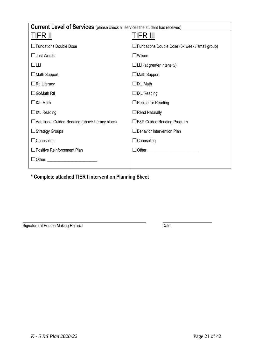| <b>Current Level of Services</b> (please check all services the student has received) |                                                  |  |
|---------------------------------------------------------------------------------------|--------------------------------------------------|--|
| TIER II                                                                               | TIER III                                         |  |
| □ Fundations Double Dose                                                              | □ Fundations Double Dose (5x week / small group) |  |
| $\Box$ Just Words                                                                     | $\square$ Wilson                                 |  |
| $\Box$ lli                                                                            | $\Box$ LLI (at greater intensity)                |  |
| $\Box$ Math Support                                                                   | $\Box$ Math Support                              |  |
| $\Box$ Rtl Literacy                                                                   | $\Box$ IXL Math                                  |  |
| $\Box$ GoMath Rtl                                                                     | $\Box$ IXL Reading                               |  |
| $\Box$ IXL Math                                                                       | $\Box$ Recipe for Reading                        |  |
| $\Box$ IXL Reading                                                                    | $\Box$ Read Naturally                            |  |
| □ Additional Guided Reading (above literacy block)                                    | □F&P Guided Reading Program                      |  |
| $\Box$ Strategy Groups                                                                | $\Box$ Behavior Intervention Plan                |  |
| $\Box$ Counseling                                                                     | $\Box$ Counseling                                |  |
| □ Positive Reinforcement Plan                                                         | □Other: ______________________                   |  |
| $\Box$ Other: ___________________________                                             |                                                  |  |
|                                                                                       |                                                  |  |

**\* Complete attached TIER I intervention Planning Sheet**

Signature of Person Making Referral Date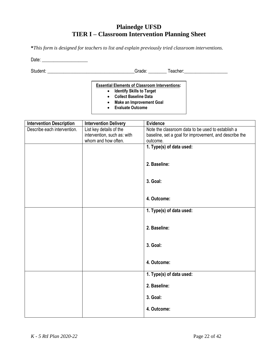# **Plainedge UFSD TIER I – Classroom Intervention Planning Sheet**

**\****This form is designed for teachers to list and explain previously tried classroom interventions.*

Date: \_\_\_\_\_\_\_\_\_\_\_\_\_\_\_\_\_\_\_\_

| Student: | Grade: | Teacher: |  |
|----------|--------|----------|--|
|          |        |          |  |
|          |        |          |  |

<span id="page-21-0"></span>**Essential Elements of Classroom Interventions: Identify Skills to Target Collect Baseline Data Make an Improvement Goal**

 **Evaluate Outcome**

| <b>Intervention Description</b> | <b>Intervention Delivery</b> | <b>Evidence</b>                                        |
|---------------------------------|------------------------------|--------------------------------------------------------|
| Describe each intervention.     | List key details of the      | Note the classroom data to be used to establish a      |
|                                 | intervention, such as: with  | baseline, set a goal for improvement, and describe the |
|                                 | whom and how often.          | outcome.                                               |
|                                 |                              | 1. Type(s) of data used:                               |
|                                 |                              |                                                        |
|                                 |                              |                                                        |
|                                 |                              | 2. Baseline:                                           |
|                                 |                              |                                                        |
|                                 |                              | 3. Goal:                                               |
|                                 |                              |                                                        |
|                                 |                              |                                                        |
|                                 |                              | 4. Outcome:                                            |
|                                 |                              |                                                        |
|                                 |                              | 1. Type(s) of data used:                               |
|                                 |                              |                                                        |
|                                 |                              | 2. Baseline:                                           |
|                                 |                              |                                                        |
|                                 |                              |                                                        |
|                                 |                              | 3. Goal:                                               |
|                                 |                              |                                                        |
|                                 |                              |                                                        |
|                                 |                              | 4. Outcome:                                            |
|                                 |                              |                                                        |
|                                 |                              | 1. Type(s) of data used:                               |
|                                 |                              | 2. Baseline:                                           |
|                                 |                              |                                                        |
|                                 |                              | 3. Goal:                                               |
|                                 |                              |                                                        |
|                                 |                              | 4. Outcome:                                            |
|                                 |                              |                                                        |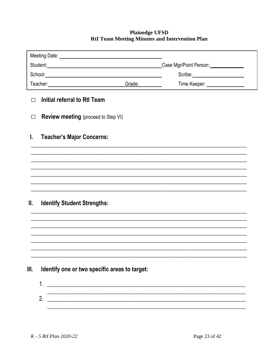## <span id="page-22-0"></span>**Plainedge UFSD** RtI Team Meeting Minutes and Intervention Plan

| Student: <u>Communications</u> Charles and Charles Charles Charles Charles Charles Charles Charles Charles Charles Charles Charles Charles Charles Charles Charles Charles Charles Charles Charles Charles Charles Charles Charles |                                               | Case Mgr/Point Person: _______________ |  |
|------------------------------------------------------------------------------------------------------------------------------------------------------------------------------------------------------------------------------------|-----------------------------------------------|----------------------------------------|--|
|                                                                                                                                                                                                                                    |                                               | Scribe: 2000                           |  |
|                                                                                                                                                                                                                                    | Grade:                                        | Time Keeper: ________________          |  |
| $\Box$                                                                                                                                                                                                                             | Initial referral to RtI Team                  |                                        |  |
| $\Box$                                                                                                                                                                                                                             | Review meeting (proceed to Step VI)           |                                        |  |
| I.                                                                                                                                                                                                                                 | <b>Teacher's Major Concerns:</b>              |                                        |  |
|                                                                                                                                                                                                                                    |                                               |                                        |  |
|                                                                                                                                                                                                                                    |                                               |                                        |  |
|                                                                                                                                                                                                                                    |                                               |                                        |  |
| Ш.                                                                                                                                                                                                                                 | <b>Identify Student Strengths:</b>            |                                        |  |
|                                                                                                                                                                                                                                    |                                               |                                        |  |
|                                                                                                                                                                                                                                    |                                               |                                        |  |
|                                                                                                                                                                                                                                    |                                               |                                        |  |
| III.                                                                                                                                                                                                                               | Identify one or two specific areas to target: |                                        |  |
|                                                                                                                                                                                                                                    | 1 <sub>1</sub>                                |                                        |  |
|                                                                                                                                                                                                                                    | 2.                                            |                                        |  |
|                                                                                                                                                                                                                                    |                                               |                                        |  |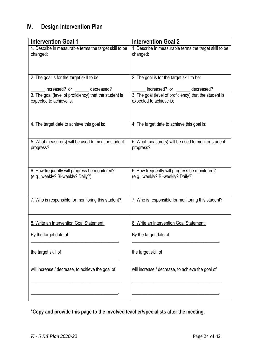# **IV. Design Intervention Plan**

| <b>Intervention Goal 1</b>                                                         | <b>Intervention Goal 2</b>                                                         |
|------------------------------------------------------------------------------------|------------------------------------------------------------------------------------|
| 1. Describe in measurable terms the target skill to be<br>changed:                 | 1. Describe in measurable terms the target skill to be<br>changed:                 |
| 2. The goal is for the target skill to be:                                         | 2. The goal is for the target skill to be:                                         |
| increased? or<br>decreased?                                                        | increased? or<br>decreased?                                                        |
| 3. The goal (level of proficiency) that the student is<br>expected to achieve is:  | 3. The goal (level of proficiency) that the student is<br>expected to achieve is:  |
| 4. The target date to achieve this goal is:                                        | 4. The target date to achieve this goal is:                                        |
| 5. What measure(s) will be used to monitor student<br>progress?                    | 5. What measure(s) will be used to monitor student<br>progress?                    |
| 6. How frequently will progress be monitored?<br>(e.g., weekly? Bi-weekly? Daily?) | 6. How frequently will progress be monitored?<br>(e.g., weekly? Bi-weekly? Daily?) |
| 7. Who is responsible for monitoring this student?                                 | 7. Who is responsible for monitoring this student?                                 |
| 8. Write an Intervention Goal Statement:                                           | 8. Write an Intervention Goal Statement:                                           |
| By the target date of                                                              | By the target date of                                                              |
| the target skill of                                                                | the target skill of                                                                |
| will increase / decrease, to achieve the goal of                                   | will increase / decrease, to achieve the goal of                                   |
|                                                                                    |                                                                                    |

**\*Copy and provide this page to the involved teacher/specialists after the meeting.**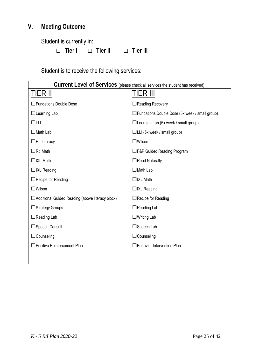# **V. Meeting Outcome**

Student is currently in:

 **□ Tier I □ Tier II □ Tier III**

Student is to receive the following services:

| <b>Current Level of Services</b> (please check all services the student has received) |                                                       |  |  |
|---------------------------------------------------------------------------------------|-------------------------------------------------------|--|--|
| TIER II                                                                               | IER III                                               |  |  |
| □Fundations Double Dose                                                               | □Reading Recovery                                     |  |  |
| $\Box$ Learning Lab                                                                   | $\Box$ Fundations Double Dose (5x week / small group) |  |  |
| $\Box$ lli                                                                            | $\Box$ Learning Lab (5x week / small group)           |  |  |
| コMath Lab                                                                             | $\Box$ LLI (5x week / small group)                    |  |  |
| $\Box$ Rtl Literacy                                                                   | $\square$ Wilson                                      |  |  |
| $\Box$ Rtl Math                                                                       | □F&P Guided Reading Program                           |  |  |
| □IXL Math                                                                             | □Read Naturally                                       |  |  |
| $\Box$ IXL Reading                                                                    | $\Box$ Math Lab                                       |  |  |
| $\Box$ Recipe for Reading                                                             | $\Box$ IXL Math                                       |  |  |
| $\square$ Wilson                                                                      | $\Box$ IXL Reading                                    |  |  |
| $\Box$ Additional Guided Reading (above literacy block)                               | $\Box$ Recipe for Reading                             |  |  |
| $\Box$ Strategy Groups                                                                | $\Box$ Reading Lab                                    |  |  |
| $\Box$ Reading Lab                                                                    | $\Box$ Writing Lab                                    |  |  |
| □ Speech Consult                                                                      | $\Box$ Speech Lab                                     |  |  |
| $\Box$ Counseling                                                                     | $\Box$ Counseling                                     |  |  |
| $\Box$ Positive Reinforcement Plan                                                    | $\Box$ Behavior Intervention Plan                     |  |  |
|                                                                                       |                                                       |  |  |
|                                                                                       |                                                       |  |  |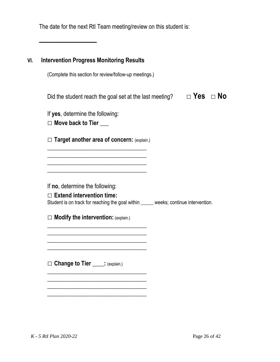The date for the next RtI Team meeting/review on this student is:

 $\overline{\phantom{a}}$ 

| <b>Intervention Progress Monitoring Results</b>                                                                          |                      |
|--------------------------------------------------------------------------------------------------------------------------|----------------------|
| (Complete this section for review/follow-up meetings.)                                                                   |                      |
|                                                                                                                          |                      |
| Did the student reach the goal set at the last meeting?                                                                  | $\Box$ Yes $\Box$ No |
| If yes, determine the following:<br>$\Box$ Move back to Tier $\_\_$                                                      |                      |
| $\Box$ Target another area of concern: (explain.)                                                                        |                      |
|                                                                                                                          |                      |
|                                                                                                                          |                      |
|                                                                                                                          |                      |
| If no, determine the following:                                                                                          |                      |
| $\Box$ Extend intervention time:<br>Student is on track for reaching the goal within _____ weeks; continue intervention. |                      |
| Modify the intervention: (explain.)<br>$\Box$                                                                            |                      |
|                                                                                                                          |                      |
|                                                                                                                          |                      |
|                                                                                                                          |                      |
| □ Change to Tier ____: (explain.)                                                                                        |                      |
|                                                                                                                          |                      |
|                                                                                                                          |                      |
|                                                                                                                          |                      |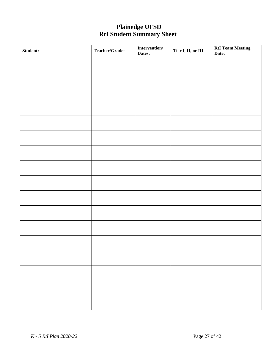# <span id="page-26-0"></span>**Plainedge UFSD RtI Student Summary Sheet**

| Student: | Teacher/Grade: | Intervention/<br>Dates: | Tier I, II, or III | <b>RtI Team Meeting</b><br>Date: |
|----------|----------------|-------------------------|--------------------|----------------------------------|
|          |                |                         |                    |                                  |
|          |                |                         |                    |                                  |
|          |                |                         |                    |                                  |
|          |                |                         |                    |                                  |
|          |                |                         |                    |                                  |
|          |                |                         |                    |                                  |
|          |                |                         |                    |                                  |
|          |                |                         |                    |                                  |
|          |                |                         |                    |                                  |
|          |                |                         |                    |                                  |
|          |                |                         |                    |                                  |
|          |                |                         |                    |                                  |
|          |                |                         |                    |                                  |
|          |                |                         |                    |                                  |
|          |                |                         |                    |                                  |
|          |                |                         |                    |                                  |
|          |                |                         |                    |                                  |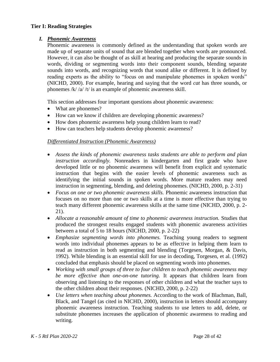#### <span id="page-27-0"></span>**Tier I: Reading Strategies**

#### *I. Phonemic Awareness*

Phonemic awareness is commonly defined as the understanding that spoken words are made up of separate units of sound that are blended together when words are pronounced. However, it can also be thought of as skill at hearing and producing the separate sounds in words, dividing or segmenting words into their component sounds, blending separate sounds into words, and recognizing words that sound alike or different. It is defined by reading experts as the ability to "focus on and manipulate phonemes in spoken words" (NICHD, 2000). For example, hearing and saying that the word *cat* has three sounds, or phonemes /k/ /a/ /t/ is an example of phonemic awareness skill.

This section addresses four important questions about phonemic awareness:

- What are phonemes?
- How can we know if children are developing phonemic awareness?
- How does phonemic awareness help young children learn to read?
- How can teachers help students develop phonemic awareness?

#### *Differentiated Instruction (Phonemic Awareness)*

- *Assess the kinds of phonemic awareness tasks students are able to perform and plan instruction accordingly.* Nonreaders in kindergarten and first grade who have developed little or no phonemic awareness will benefit from explicit and systematic instruction that begins with the easier levels of phonemic awareness such as identifying the initial sounds in spoken words. More mature readers may need instruction in segmenting, blending, and deleting phonemes. (NICHD, 2000, p. 2-31)
- *Focus on one or two phonemic awareness skills.* Phonemic awareness instruction that focuses on no more than one or two skills at a time is more effective than trying to teach many different phonemic awareness skills at the same time (NICHD, 2000, p. 2- 21).
- Allocate a reasonable amount of time to phonemic awareness instruction. Studies that produced the strongest results engaged students with phonemic awareness activities between a total of 5 to 18 hours (NICHD, 2000, p. 2-22)
- *Emphasize segmenting words into phonemes.* Teaching young readers to segment words into individual phonemes appears to be as effective in helping them learn to read as instruction in both segmenting and blending (Torgesen, Morgan, & Davis, 1992). While blending is an essential skill for use in decoding, Torgesen, et al. (1992) concluded that emphasis should be placed on segmenting words into phonemes.
- *Working with small groups of three to four children to teach phonemic awareness may be more effective than one-on-one tutoring.* It appears that children learn from observing and listening to the responses of other children and what the teacher says to the other children about their responses. (NICHD, 2000, p. 2-22)
- *Use letters when teaching about phonemes.* According to the work of Blachman, Ball, Black, and Tangel (as cited in NICHD, 2000), instruction in letters should accompany phonemic awareness instruction. Teaching students to use letters to add, delete, or substitute phonemes increases the application of phonemic awareness to reading and writing.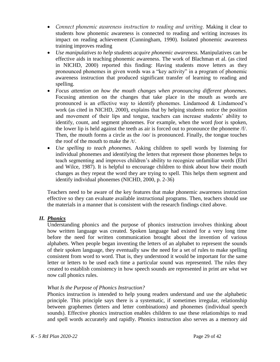- *Connect phonemic awareness instruction to reading and writing.* Making it clear to students how phonemic awareness is connected to reading and writing increases its impact on reading achievement (Cunningham, 1990). Isolated phonemic awareness training improves reading
- *Use manipulatives to help students acquire phonemic awareness.* Manipulatives can be effective aids in teaching phonemic awareness. The work of Blachman et al. (as cited in NICHD, 2000) reported this finding: Having students move letters as they pronounced phonemes in given words was a "key activity" in a program of phonemic awareness instruction that produced significant transfer of learning to reading and spelling.
- *Focus attention on how the mouth changes when pronouncing different phonemes.*  Focusing attention on the changes that take place in the mouth as words are pronounced is an effective way to identify phonemes. Lindamood & Lindamood's work (as cited in NICHD, 2000), explains that by helping students notice the position and movement of their lips and tongue, teachers can increase students' ability to identify, count, and segment phonemes. For example, when the word *foot* is spoken, the lower lip is held against the teeth as air is forced out to pronounce the phoneme /f/. Then, the mouth forms a circle as the /oo/ is pronounced. Finally, the tongue touches the roof of the mouth to make the /t/.
- *Use spelling to teach phonemes.* Asking children to spell words by listening for individual phonemes and identifying the letters that represent those phonemes helps to teach segmenting and improves children's ability to recognize unfamiliar words (Ehri and Wilce, 1987). It is helpful to encourage children to think about how their mouth changes as they repeat the word they are trying to spell. This helps them segment and identify individual phonemes (NICHD, 2000, p. 2-36)

Teachers need to be aware of the key features that make phonemic awareness instruction effective so they can evaluate available instructional programs. Then, teachers should use the materials in a manner that is consistent with the research findings cited above.

#### *II. Phonics*

Understanding phonics and the purpose of phonics instruction involves thinking about how written language was created. Spoken language had existed for a very long time before the need for written communication brought about the invention of various alphabets. When people began inventing the letters of an alphabet to represent the sounds of their spoken language, they eventually saw the need for a set of rules to make spelling consistent from word to word. That is, they understood it would be important for the same letter or letters to be used each time a particular sound was represented. The rules they created to establish consistency in how speech sounds are represented in print are what we now call phonics rules.

#### *What Is the Purpose of Phonics Instruction?*

Phonics instruction is intended to help young readers understand and use the alphabetic principle. This principle says there is a systematic, if sometimes irregular, relationship between graphemes (letters and letter combinations) and phonemes (individual speech sounds). Effective phonics instruction enables children to use these relationships to read and spell words accurately and rapidly. Phonics instruction also serves as a memory aid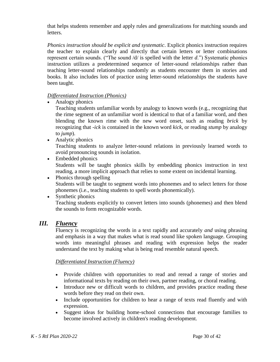that helps students remember and apply rules and generalizations for matching sounds and letters.

*Phonics instruction should be explicit and systematic*. Explicit phonics instruction requires the teacher to explain clearly and directly that certain letters or letter combinations represent certain sounds. ("The sound /d/ is spelled with the letter *d*.") Systematic phonics instruction utilizes a predetermined sequence of letter-sound relationships rather than teaching letter-sound relationships randomly as students encounter them in stories and books. It also includes lots of practice using letter-sound relationships the students have been taught.

#### *Differentiated Instruction (Phonics)*

Analogy phonics

Teaching students unfamiliar words by analogy to known words (e.g., recognizing that the rime segment of an unfamiliar word is identical to that of a familiar word, and then blending the known rime with the new word onset, such as reading *brick* by recognizing that *-ick* is contained in the known word *kick*, or reading *stump* by analogy to *jump*).

• Analytic phonics

Teaching students to analyze letter-sound relations in previously learned words to avoid pronouncing sounds in isolation.

• Embedded phonics

Students will be taught phonics skills by embedding phonics instruction in text reading, a more implicit approach that relies to some extent on incidental learning.

- Phonics through spelling Students will be taught to segment words into phonemes and to select letters for those phonemes (i.e., teaching students to spell words phonemically).
- Synthetic phonics

Teaching students explicitly to convert letters into sounds (phonemes) and then blend the sounds to form recognizable words.

## *III. Fluency*

Fluency is recognizing the words in a text rapidly and accurately *and* using phrasing and emphasis in a way that makes what is read sound like spoken language. Grouping words into meaningful phrases and reading with expression helps the reader understand the text by making what is being read resemble natural speech.

#### *Differentiated Instruction (Fluency)*

- Provide children with opportunities to read and reread a range of stories and informational texts by reading on their own, partner reading, or choral reading.
- Introduce new or difficult words to children, and provides practice reading these words before they read on their own.
- Include opportunities for children to hear a range of texts read fluently and with expression.
- Suggest ideas for building home-school connections that encourage families to become involved actively in children's reading development.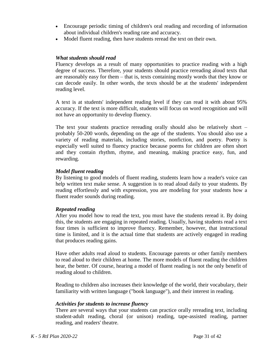- Encourage periodic timing of children's oral reading and recording of information about individual children's reading rate and accuracy.
- Model fluent reading, then have students reread the text on their own.

#### *What students should read*

Fluency develops as a result of many opportunities to practice reading with a high degree of success. Therefore, your students should practice rereading aloud texts that are reasonably easy for them – that is, texts containing mostly words that they know or can decode easily. In other words, the texts should be at the students' independent reading level.

A text is at students' independent reading level if they can read it with about 95% accuracy. If the text is more difficult, students will focus on word recognition and will not have an opportunity to develop fluency.

The text your students practice rereading orally should also be relatively short – probably 50-200 words, depending on the age of the students. You should also use a variety of reading materials, including stories, nonfiction, and poetry. Poetry is especially well suited to fluency practice because poems for children are often short and they contain rhythm, rhyme, and meaning, making practice easy, fun, and rewarding.

#### *Model fluent reading*

By listening to good models of fluent reading, students learn how a reader's voice can help written text make sense. A suggestion is to read aloud daily to your students. By reading effortlessly and with expression, you are modeling for your students how a fluent reader sounds during reading.

#### *Repeated reading*

After you model how to read the text, you must have the students reread it. By doing this, the students are engaging in repeated reading. Usually, having students read a text four times is sufficient to improve fluency. Remember, however, that instructional time is limited, and it is the actual time that students are actively engaged in reading that produces reading gains.

Have other adults read aloud to students. Encourage parents or other family members to read aloud to their children at home. The more models of fluent reading the children hear, the better. Of course, hearing a model of fluent reading is not the only benefit of reading aloud to children.

Reading to children also increases their knowledge of the world, their vocabulary, their familiarity with written language ("book language"), and their interest in reading.

#### *Activities for students to increase fluency*

There are several ways that your students can practice orally rereading text, including student-adult reading, choral (or unison) reading, tape-assisted reading, partner reading, and readers' theatre.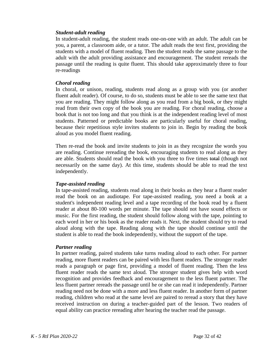#### *Student-adult reading*

In student-adult reading, the student reads one-on-one with an adult. The adult can be you, a parent, a classroom aide, or a tutor. The adult reads the text first, providing the students with a model of fluent reading. Then the student reads the same passage to the adult with the adult providing assistance and encouragement. The student rereads the passage until the reading is quite fluent. This should take approximately three to four re-readings

#### *Choral reading*

In choral, or unison, reading, students read along as a group with you (or another fluent adult reader). Of course, to do so, students must be able to see the same text that you are reading. They might follow along as you read from a big book, or they might read from their own copy of the book you are reading. For choral reading, choose a book that is not too long and that you think is at the independent reading level of most students. Patterned or predictable books are particularly useful for choral reading, because their repetitious style invites students to join in. Begin by reading the book aloud as you model fluent reading.

Then re-read the book and invite students to join in as they recognize the words you are reading. Continue rereading the book, encouraging students to read along as they are able. Students should read the book with you three to five times total (though not necessarily on the same day). At this time, students should be able to read the text independently.

#### *Tape-assisted reading*

In tape-assisted reading, students read along in their books as they hear a fluent reader read the book on an audiotape. For tape-assisted reading, you need a book at a student's independent reading level and a tape recording of the book read by a fluent reader at about 80-100 words per minute. The tape should not have sound effects or music. For the first reading, the student should follow along with the tape, pointing to each word in her or his book as the reader reads it. Next, the student should try to read aloud along with the tape. Reading along with the tape should continue until the student is able to read the book independently, without the support of the tape.

#### *Partner reading*

In partner reading, paired students take turns reading aloud to each other. For partner reading, more fluent readers can be paired with less fluent readers. The stronger reader reads a paragraph or page first, providing a model of fluent reading. Then the less fluent reader reads the same text aloud. The stronger student gives help with word recognition and provides feedback and encouragement to the less fluent partner. The less fluent partner rereads the passage until he or she can read it independently. Partner reading need not be done with a more and less fluent reader. In another form of partner reading, children who read at the same level are paired to reread a story that they have received instruction on during a teacher-guided part of the lesson. Two readers of equal ability can practice rereading after hearing the teacher read the passage.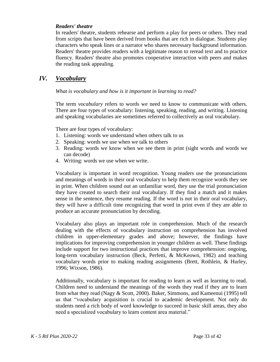#### *Readers' theatre*

In readers' theatre, students rehearse and perform a play for peers or others. They read from scripts that have been derived from books that are rich in dialogue. Students play characters who speak lines or a narrator who shares necessary background information. Readers' theatre provides readers with a legitimate reason to reread text and to practice fluency. Readers' theatre also promotes cooperative interaction with peers and makes the reading task appealing.

#### *IV. Vocabulary*

#### *What is vocabulary and how is it important in learning to read?*

The term *vocabulary* refers to words we need to know to communicate with others. There are four types of vocabulary: listening, speaking, reading, and writing. Listening and speaking vocabularies are sometimes referred to collectively as oral vocabulary.

There are four types of vocabulary:

- 1. Listening: words we understand when others talk to us
- 2. Speaking: words we use when we talk to others
- 3. Reading: words we know when we see them in print (sight words and words we can decode)
- 4. Writing: words we use when we write.

Vocabulary is important in word recognition. Young readers use the pronunciations and meanings of words in their oral vocabulary to help them recognize words they see in print. When children sound out an unfamiliar word, they use the trial pronunciation they have created to search their oral vocabulary. If they find a match and it makes sense in the sentence, they resume reading. If the word is not in their oral vocabulary, they will have a difficult time recognizing that word in print even if they are able to produce an accurate pronunciation by decoding.

Vocabulary also plays an important role in comprehension. Much of the research dealing with the effects of vocabulary instruction on comprehension has involved children in upper-elementary grades and above; however, the findings have implications for improving comprehension in younger children as well. These findings include support for two instructional practices that improve comprehension: ongoing, long-term vocabulary instruction (Beck, Perfetti, & McKeown, 1982) and teaching vocabulary words prior to making reading assignments (Brett, Rothlein, & Hurley, 1996; Wixson, 1986).

Additionally, vocabulary is important for reading to learn as well as learning to read. Children need to understand the meanings of the words they read if they are to learn from what they read (Nagy & Scott, 2000). Baker, Simmons, and Kameenui (1995) tell us that "vocabulary acquisition is crucial to academic development. Not only do students need a rich body of word knowledge to succeed in basic skill areas, they also need a specialized vocabulary to learn content area material."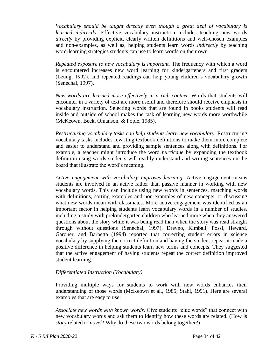*Vocabulary should be taught directly even though a great deal of vocabulary is learned indirectly.* Effective vocabulary instruction includes teaching new words *directly* by providing explicit, clearly written definitions and well-chosen examples and non-examples, as well as, helping students learn words *indirectly* by teaching word-learning strategies students can use to learn words on their own.

*Repeated exposure to new vocabulary is important.* The frequency with which a word is encountered increases new word learning for kindergarteners and first graders (Leung, 1992), and repeated readings can help young children's vocabulary growth (Senechal, 1997).

*New words are learned more effectively in a rich context.* Words that students will encounter in a variety of text are more useful and therefore should receive emphasis in vocabulary instruction. Selecting words that are found in books students will read inside and outside of school makes the task of learning new words more worthwhile (McKeown, Beck, Omanson, & Pople, 1985).

*Restructuring vocabulary tasks can help students learn new vocabulary.* Restructuring vocabulary tasks includes rewriting textbook definitions to make them more complete and easier to understand and providing sample sentences along with definitions. For example, a teacher might introduce the word *hurricane* by expanding the textbook definition using words students will readily understand and writing sentences on the board that illustrate the word's meaning.

*Active engagement with vocabulary improves learning.* Active engagement means students are involved in an active rather than passive manner in working with new vocabulary words. This can include using new words in sentences, matching words with definitions, sorting examples and non-examples of new concepts, or discussing what new words mean with classmates. More active engagement was identified as an important factor in helping students learn vocabulary words in a number of studies, including a study with prekindergarten children who learned more when they answered questions about the story while it was being read than when the story was read straight through without questions (Senechal, 1997). Drevno, Kimball, Possi, Heward, Gardner, and Barbetta (1994) reported that correcting student errors in science vocabulary by supplying the correct definition and having the student repeat it made a positive difference in helping students learn new terms and concepts. They suggested that the active engagement of having students repeat the correct definition improved student learning.

#### *Differentiated Instruction (Vocabulary)*

Providing multiple ways for students to work with new words enhances their understanding of those words (McKeown et al., 1985; Stahl, 1991). Here are several examples that are easy to use:

*Associate new words with known words.* Give students "clue words" that connect with new vocabulary words and ask them to identify how these words are related. (How is *story* related to *novel*? Why do these two words belong together?)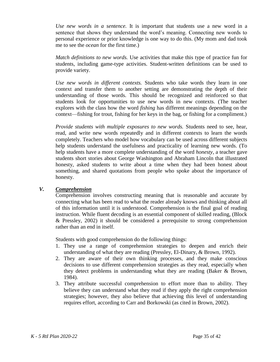*Use new words in a sentence.* It is important that students use a new word in a sentence that shows they understand the word's meaning. Connecting new words to personal experience or prior knowledge is one way to do this. (My mom and dad took me to see the *ocean* for the first time.)

*Match definitions to new words.* Use activities that make this type of practice fun for students, including game-type activities. Student-written definitions can be used to provide variety.

*Use new words in different contexts.* Students who take words they learn in one context and transfer them to another setting are demonstrating the depth of their understanding of those words. This should be recognized and reinforced so that students look for opportunities to use new words in new contexts. (The teacher explores with the class how the word *fishing* has different meanings depending on the context—fishing for trout, fishing for her keys in the bag, or fishing for a compliment.)

*Provide students with multiple exposures to new words.* Students need to see, hear, read, and write new words repeatedly and in different contexts to learn the words completely. Teachers who model how vocabulary can be used across different subjects help students understand the usefulness and practicality of learning new words. (To help students have a more complete understanding of the word *honesty,* a teacher gave students short stories about George Washington and Abraham Lincoln that illustrated honesty, asked students to write about a time when they had been honest about something, and shared quotations from people who spoke about the importance of honesty.

#### *V. Comprehension*

Comprehension involves constructing meaning that is reasonable and accurate by connecting what has been read to what the reader already knows and thinking about all of this information until it is understood. Comprehension is the final goal of reading instruction. While fluent decoding is an essential component of skilled reading, (Block & Pressley, 2002) it should be considered a prerequisite to strong comprehension rather than an end in itself.

Students with good comprehension do the following things:

- 1. They use a range of comprehension strategies to deepen and enrich their understanding of what they are reading (Pressley, El-Dinary, & Brown, 1992).
- 2. They are aware of their own thinking processes, and they make conscious decisions to use different comprehension strategies as they read, especially when they detect problems in understanding what they are reading (Baker & Brown, 1984).
- 3. They attribute successful comprehension to effort more than to ability. They believe they can understand what they read if they apply the right comprehension strategies; however, they also believe that achieving this level of understanding requires effort, according to Carr and Borkowski (as cited in Brown, 2002).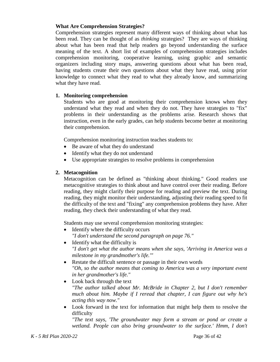#### **What Are Comprehension Strategies?**

Comprehension strategies represent many different ways of thinking about what has been read. They can be thought of as *thinking* strategies? They are ways of thinking about what has been read that help readers go beyond understanding the surface meaning of the text. A short list of examples of comprehension strategies includes comprehension monitoring, cooperative learning, using graphic and semantic organizers including story maps, answering questions about what has been read, having students create their own questions about what they have read, using prior knowledge to connect what they read to what they already know, and summarizing what they have read.

#### **1. Monitoring comprehension**

Students who are good at monitoring their comprehension knows when they understand what they read and when they do not. They have strategies to "fix" problems in their understanding as the problems arise. Research shows that instruction, even in the early grades, can help students become better at monitoring their comprehension.

Comprehension monitoring instruction teaches students to:

- Be aware of what they do understand
- Identify what they do not understand
- Use appropriate strategies to resolve problems in comprehension

#### **2. Metacognition**

Metacognition can be defined as "thinking about thinking." Good readers use metacognitive strategies to think about and have control over their reading. Before reading, they might clarify their purpose for reading and preview the text. During reading, they might monitor their understanding, adjusting their reading speed to fit the difficulty of the text and "fixing" any comprehension problems they have. After reading, they check their understanding of what they read.

Students may use several comprehension monitoring strategies:

- Identify where the difficulty occurs *"I don't understand the second paragraph on page 76."*
- Identify what the difficulty is *"I don't get what the author means when she says, 'Arriving in America was a milestone in my grandmother's life.'"*
- Restate the difficult sentence or passage in their own words *"Oh, so the author means that coming to America was a very important event in her grandmother's life."*
- Look back through the text *"The author talked about Mr. McBride in Chapter 2, but I don't remember much about him. Maybe if I reread that chapter, I can figure out why he's acting this way now."*
- Look forward in the text for information that might help them to resolve the difficulty

*"The text says, 'The groundwater may form a stream or pond or create a wetland. People can also bring groundwater to the surface.' Hmm, I don't*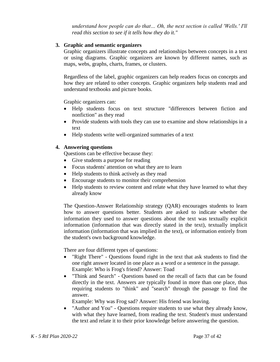*understand how people can do that… Oh, the next section is called 'Wells.' I'll read this section to see if it tells how they do it."*

#### **3. Graphic and semantic organizers**

Graphic organizers illustrate concepts and relationships between concepts in a text or using diagrams. Graphic organizers are known by different names, such as maps, webs, graphs, charts, frames, or clusters.

Regardless of the label, graphic organizers can help readers focus on concepts and how they are related to other concepts. Graphic organizers help students read and understand textbooks and picture books.

Graphic organizers can:

- Help students focus on text structure "differences between fiction and nonfiction" as they read
- Provide students with tools they can use to examine and show relationships in a text
- Help students write well-organized summaries of a text

#### **4. Answering questions**

Questions can be effective because they:

- Give students a purpose for reading
- Focus students' attention on what they are to learn
- Help students to think actively as they read
- Encourage students to monitor their comprehension
- Help students to review content and relate what they have learned to what they already know

The Question-Answer Relationship strategy (QAR) encourages students to learn how to answer questions better. Students are asked to indicate whether the information they used to answer questions about the text was textually explicit information (information that was directly stated in the text), textually implicit information (information that was implied in the text), or information entirely from the student's own background knowledge.

There are four different types of questions:

- "Right There" Questions found right in the text that ask students to find the one right answer located in one place as a word or a sentence in the passage. Example: Who is Frog's friend? Answer: Toad
- "Think and Search" Questions based on the recall of facts that can be found directly in the text. Answers are typically found in more than one place, thus requiring students to "think" and "search" through the passage to find the answer.

Example: Why was Frog sad? Answer: His friend was leaving.

 "Author and You" - Questions require students to use what they already know, with what they have learned, from reading the text. Student's must understand the text and relate it to their prior knowledge before answering the question.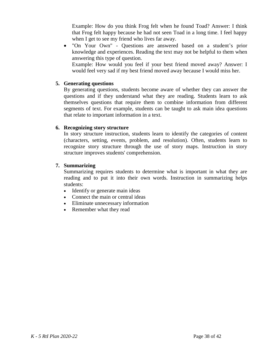Example: How do you think Frog felt when he found Toad? Answer: I think that Frog felt happy because he had not seen Toad in a long time. I feel happy when I get to see my friend who lives far away.

 "On Your Own" - Questions are answered based on a student's prior knowledge and experiences. Reading the text may not be helpful to them when answering this type of question.

Example: How would you feel if your best friend moved away? Answer: I would feel very sad if my best friend moved away because I would miss her.

#### **5. Generating questions**

By generating questions, students become aware of whether they can answer the questions and if they understand what they are reading. Students learn to ask themselves questions that require them to combine information from different segments of text. For example, students can be taught to ask main idea questions that relate to important information in a text.

#### **6. Recognizing story structure**

In story structure instruction, students learn to identify the categories of content (characters, setting, events, problem, and resolution). Often, students learn to recognize story structure through the use of story maps. Instruction in story structure improves students' comprehension.

#### **7. Summarizing**

Summarizing requires students to determine what is important in what they are reading and to put it into their own words. Instruction in summarizing helps students:

- Identify or generate main ideas
- Connect the main or central ideas
- Eliminate unnecessary information
- Remember what they read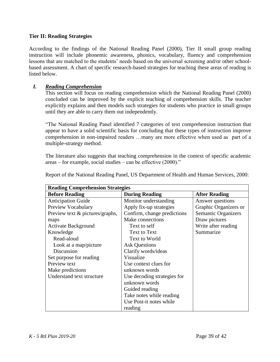#### <span id="page-38-0"></span>**Tier II: Reading Strategies**

According to the findings of the National Reading Panel (2000), Tier II small group reading instruction will include phonemic awareness, phonics, vocabulary, fluency and comprehension lessons that are matched to the students' needs based on the universal screening and/or other schoolbased assessment. A chart of specific research-based strategies for teaching these areas of reading is listed below.

#### *I. Reading Comprehension*

This section will focus on reading comprehension which the National Reading Panel (2000) concluded can be improved by the explicit teaching of comprehension skills. The teacher explicitly explains and then models such strategies for students who practice in small groups until they are able to carry them out independently.

"The National Reading Panel identified 7 categories of text comprehension instruction that appear to have a solid scientific basis for concluding that these types of instruction improve comprehension in non-impaired readers …many are more effective when used as part of a multiple-strategy method.

The literature also suggests that teaching comprehension in the context of specific academic areas – for example, social studies – can be effective (2000)."

| <b>Reading Comprehension Strategies</b> |                             |                       |  |
|-----------------------------------------|-----------------------------|-----------------------|--|
| <b>Before Reading</b>                   | <b>During Reading</b>       | <b>After Reading</b>  |  |
| <b>Anticipation Guide</b>               | Monitor understanding       | Answer questions      |  |
| Preview Vocabulary                      | Apply fix-up strategies     | Graphic Organizers or |  |
| Preview text $\&$ pictures/graphs,      | Confirm, change predictions | Semantic Organizers   |  |
| maps                                    | Make connections            | Draw pictures         |  |
| <b>Activate Background</b>              | Text to self                | Write after reading   |  |
| Knowledge                               | <b>Text to Text</b>         | Summarize             |  |
| Read-aloud                              | Text to World               |                       |  |
| Look at a map/picture                   | <b>Ask Questions</b>        |                       |  |
| Discussion                              | Clarify words/ideas         |                       |  |
| Set purpose for reading                 | Visualize                   |                       |  |
| Preview text                            | Use context clues for       |                       |  |
| Make predictions                        | unknown words               |                       |  |
| Understand text structure               | Use decoding strategies for |                       |  |
|                                         | unknown words               |                       |  |
|                                         | Guided reading              |                       |  |
|                                         | Take notes while reading    |                       |  |
|                                         | Use Post-it notes while     |                       |  |
|                                         | reading                     |                       |  |

Report of the National Reading Panel, US Department of Health and Human Services, 2000: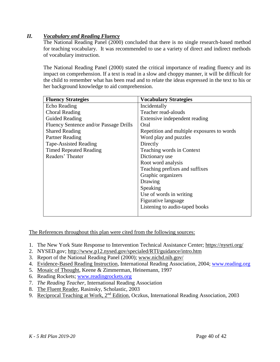#### *II. Vocabulary and Reading Fluency*

The National Reading Panel (2000) concluded that there is no single research-based method for teaching vocabulary. It was recommended to use a variety of direct and indirect methods of vocabulary instruction.

The National Reading Panel (2000) stated the critical importance of reading fluency and its impact on comprehension. If a text is read in a slow and choppy manner, it will be difficult for the child to remember what has been read and to relate the ideas expressed in the text to his or her background knowledge to aid comprehension.

| <b>Fluency Strategies</b>              | <b>Vocabulary Strategies</b>               |
|----------------------------------------|--------------------------------------------|
| Echo Reading                           | Incidentally                               |
| <b>Choral Reading</b>                  | Teacher read-alouds                        |
| Guided Reading                         | Extensive independent reading              |
| Fluency Sentence and/or Passage Drills | Oral                                       |
| <b>Shared Reading</b>                  | Repetition and multiple exposures to words |
| Partner Reading                        | Word play and puzzles                      |
| <b>Tape-Assisted Reading</b>           | Directly                                   |
| <b>Timed Repeated Reading</b>          | Teaching words in Context                  |
| Readers' Theater                       | Dictionary use                             |
|                                        | Root word analysis                         |
|                                        | Teaching prefixes and suffixes             |
|                                        | Graphic organizers                         |
|                                        | Drawing                                    |
|                                        | Speaking                                   |
|                                        | Use of words in writing                    |
|                                        | Figurative language                        |
|                                        | Listening to audio-taped books             |
|                                        |                                            |

The References throughout this plan were cited from the following sources:

- 1. The New York State Response to Intervention Technical Assistance Center;<https://nysrti.org/>
- 2. NYSED.gov;<http://www.p12.nysed.gov/specialed/RTI/guidance/intro.htm>
- 3. Report of the National Reading Panel (2000); [www.nichd.nih.gov/](http://www.nichd.nih.gov/)
- 4. Evidence-Based Reading Instruction, International Reading Association, 2004; [www.reading.org](http://www.reading.org/)
- 5. Mosaic of Thought, Keene & Zimmerman, Heinemann, 1997
- 6. Reading Rockets; [www.readingrockets.org](http://www.readingrockets.org/)
- 7. *The Reading Teacher*, International Reading Association
- 8. The Fluent Reader, Rasinsky, Scholastic, 2003
- 9. Reciprocal Teaching at Work, 2<sup>nd</sup> Edition, Oczkus, International Reading Association, 2003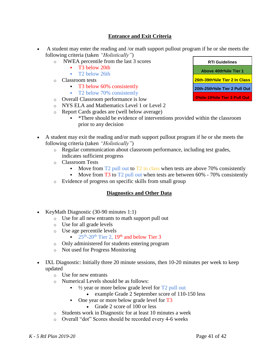#### **Entrance and Exit Criteria**

- A student may enter the reading and /or math support pullout program if he or she meets the following criteria (taken *"Holistically"*)
	- o NWEA percentile from the last 3 scores
		- T3 below 20th
		- T2 below 26th
	- o Classroom tests
		- **T3 below 60% consistently**
		- T2 below 70% consistently
	- o Overall Classroom performance is low
	- o NYS ELA and Mathematics Level 1 or Level 2
	- o Report Cards grades are (well below average)
		- \*There should be evidence of interventions provided within the classroom prior to any decision
- A student may exit the reading and/or math support pullout program if he or she meets the following criteria (taken *"Holistically"*)
	- o Regular communication about classroom performance, including test grades, indicates sufficient progress
	- o Classroom Tests
		- Move from  $T2$  pull out to  $T2$  in class when tests are above 70% consistently
		- Move from T<sub>3</sub> to T<sub>2</sub> pull out when tests are between  $60\%$   $70\%$  consistently
	- o Evidence of progress on specific skills from small group

#### **Diagnostics and Other Data**

- KeyMath Diagnostic (30-90 minutes 1:1)
	- o Use for all new entrants to math support pull out
	- o Use for all grade levels
	- o Use age percentile levels
		- $25<sup>th</sup> 20<sup>th</sup>$  Tier 2, 19<sup>th</sup> and below Tier 3
	- o Only administered for students entering program
	- o Not used for Progress Monitoring
- IXL Diagnostic: Initially three 20 minute sessions, then 10-20 minutes per week to keep updated
	- o Use for new entrants
	- o Numerical Levels should be as follows:
		- $\frac{1}{2}$  year or more below grade level for T2 pull out
			- example Grade 2 September score of 110-150 less
			- One year or more below grade level for T3
				- Grade 2 score of 100 or less
	- o Students work in Diagnostic for at least 10 minutes a week
	- o Overall "dot" Scores should be recorded every 4-6 weeks

**RTI Guidelines Above 40th%ile Tier 1 26th-39th%ile Tier 2 In Class 20th-25th%ile Tier 2 Pull Out 0%ile-19%ile Tier 3 Pull Out**